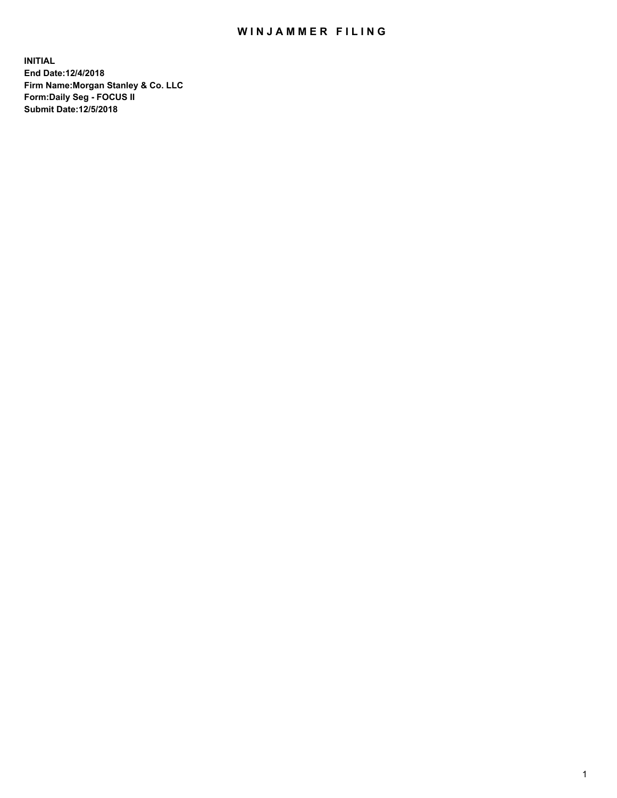## WIN JAMMER FILING

**INITIAL End Date:12/4/2018 Firm Name:Morgan Stanley & Co. LLC Form:Daily Seg - FOCUS II Submit Date:12/5/2018**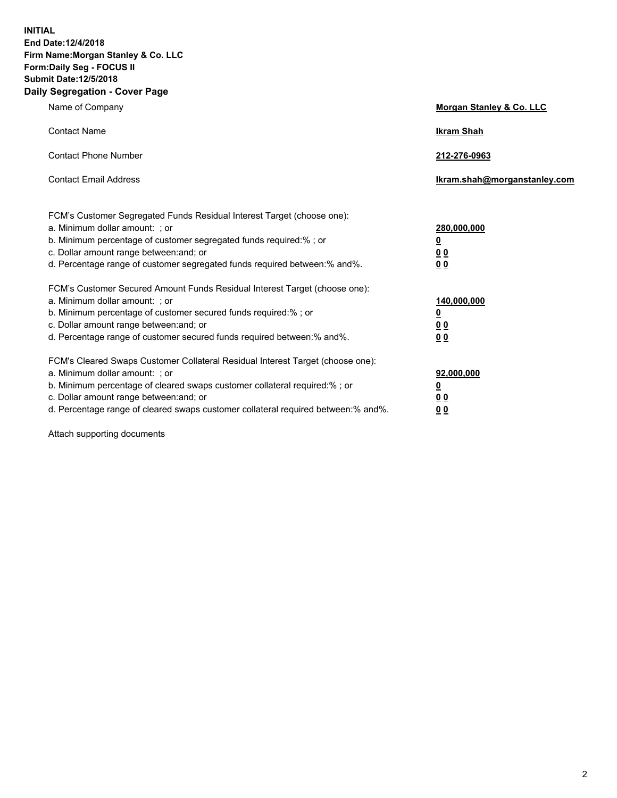**INITIAL End Date:12/4/2018 Firm Name:Morgan Stanley & Co. LLC Form:Daily Seg - FOCUS II Submit Date:12/5/2018 Daily Segregation - Cover Page**

| Name of Company                                                                                                                                                                                                                                                                                                                | Morgan Stanley & Co. LLC                               |
|--------------------------------------------------------------------------------------------------------------------------------------------------------------------------------------------------------------------------------------------------------------------------------------------------------------------------------|--------------------------------------------------------|
| <b>Contact Name</b>                                                                                                                                                                                                                                                                                                            | <b>Ikram Shah</b>                                      |
| <b>Contact Phone Number</b>                                                                                                                                                                                                                                                                                                    | 212-276-0963                                           |
| <b>Contact Email Address</b>                                                                                                                                                                                                                                                                                                   | lkram.shah@morganstanley.com                           |
| FCM's Customer Segregated Funds Residual Interest Target (choose one):<br>a. Minimum dollar amount: ; or<br>b. Minimum percentage of customer segregated funds required:% ; or<br>c. Dollar amount range between: and; or<br>d. Percentage range of customer segregated funds required between:% and%.                         | 280,000,000<br><u>0</u><br><u>0 0</u><br>0 Q           |
| FCM's Customer Secured Amount Funds Residual Interest Target (choose one):<br>a. Minimum dollar amount: ; or<br>b. Minimum percentage of customer secured funds required:%; or<br>c. Dollar amount range between: and; or<br>d. Percentage range of customer secured funds required between:% and%.                            | 140,000,000<br><u>0</u><br><u>00</u><br>0 <sub>0</sub> |
| FCM's Cleared Swaps Customer Collateral Residual Interest Target (choose one):<br>a. Minimum dollar amount: ; or<br>b. Minimum percentage of cleared swaps customer collateral required:% ; or<br>c. Dollar amount range between: and; or<br>d. Percentage range of cleared swaps customer collateral required between:% and%. | 92,000,000<br><u>0</u><br><u>00</u><br>0 <sup>0</sup>  |

Attach supporting documents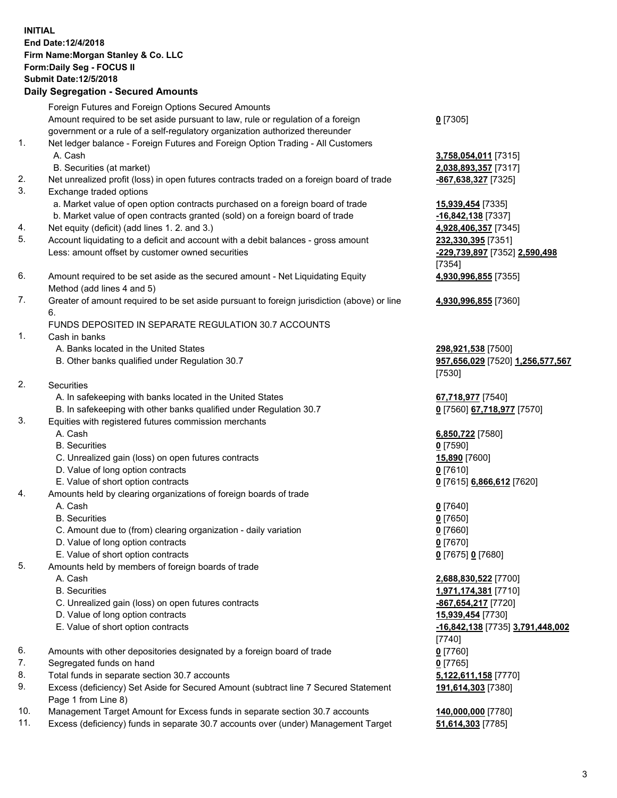## **INITIAL End Date:12/4/2018 Firm Name:Morgan Stanley & Co. LLC Form:Daily Seg - FOCUS II Submit Date:12/5/2018 Daily Segregation - Secured Amounts**

Foreign Futures and Foreign Options Secured Amounts Amount required to be set aside pursuant to law, rule or regulation of a foreign government or a rule of a self-regulatory organization authorized thereunder 1. Net ledger balance - Foreign Futures and Foreign Option Trading - All Customers A. Cash **3,758,054,011** [7315] B. Securities (at market) **2,038,893,357** [7317] 2. Net unrealized profit (loss) in open futures contracts traded on a foreign board of trade **-867,638,327** [7325] 3. Exchange traded options a. Market value of open option contracts purchased on a foreign board of trade **15,939,454** [7335] b. Market value of open contracts granted (sold) on a foreign board of trade **-16,842,138** [7337] 4. Net equity (deficit) (add lines 1. 2. and 3.) **4,928,406,357** [7345] 5. Account liquidating to a deficit and account with a debit balances - gross amount **232,330,395** [7351] Less: amount offset by customer owned securities **-229,739,897** [7352] **2,590,498** 6. Amount required to be set aside as the secured amount - Net Liquidating Equity Method (add lines 4 and 5) 7. Greater of amount required to be set aside pursuant to foreign jurisdiction (above) or line 6. FUNDS DEPOSITED IN SEPARATE REGULATION 30.7 ACCOUNTS 1. Cash in banks A. Banks located in the United States **298,921,538** [7500] B. Other banks qualified under Regulation 30.7 **957,656,029** [7520] **1,256,577,567** 2. Securities A. In safekeeping with banks located in the United States **67,718,977** [7540] B. In safekeeping with other banks qualified under Regulation 30.7 **0** [7560] **67,718,977** [7570] 3. Equities with registered futures commission merchants A. Cash **6,850,722** [7580] B. Securities **0** [7590] C. Unrealized gain (loss) on open futures contracts **15,890** [7600]

- D. Value of long option contracts **0** [7610]
- E. Value of short option contracts **0** [7615] **6,866,612** [7620]
- 4. Amounts held by clearing organizations of foreign boards of trade
	- A. Cash **0** [7640]
	- B. Securities **0** [7650]
	- C. Amount due to (from) clearing organization daily variation **0** [7660]
	- D. Value of long option contracts **0** [7670]
	- E. Value of short option contracts **0** [7675] **0** [7680]
- 5. Amounts held by members of foreign boards of trade
	-
	-
	- C. Unrealized gain (loss) on open futures contracts **-867,654,217** [7720]
	- D. Value of long option contracts **15,939,454** [7730]
	- E. Value of short option contracts **-16,842,138** [7735] **3,791,448,002**
- 6. Amounts with other depositories designated by a foreign board of trade **0** [7760]
- 7. Segregated funds on hand **0** [7765]
- 8. Total funds in separate section 30.7 accounts **5,122,611,158** [7770]
- 9. Excess (deficiency) Set Aside for Secured Amount (subtract line 7 Secured Statement Page 1 from Line 8)
- 10. Management Target Amount for Excess funds in separate section 30.7 accounts **140,000,000** [7780]
- 11. Excess (deficiency) funds in separate 30.7 accounts over (under) Management Target **51,614,303** [7785]

**0** [7305]

[7354] **4,930,996,855** [7355]

**4,930,996,855** [7360]

[7530]

 A. Cash **2,688,830,522** [7700] B. Securities **1,971,174,381** [7710] [7740] **191,614,303** [7380]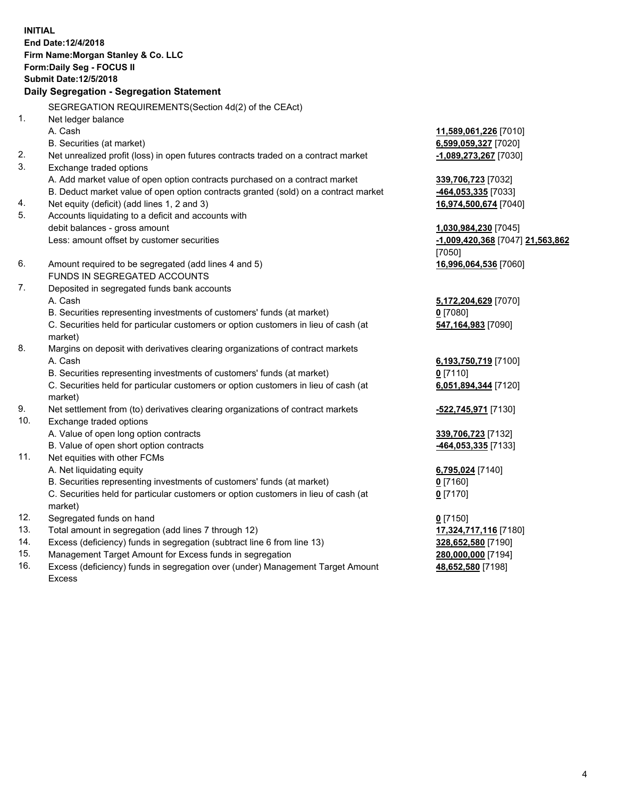**INITIAL End Date:12/4/2018 Firm Name:Morgan Stanley & Co. LLC Form:Daily Seg - FOCUS II Submit Date:12/5/2018 Daily Segregation - Segregation Statement** SEGREGATION REQUIREMENTS(Section 4d(2) of the CEAct) 1. Net ledger balance A. Cash **11,589,061,226** [7010] B. Securities (at market) **6,599,059,327** [7020] 2. Net unrealized profit (loss) in open futures contracts traded on a contract market **-1,089,273,267** [7030] 3. Exchange traded options A. Add market value of open option contracts purchased on a contract market **339,706,723** [7032] B. Deduct market value of open option contracts granted (sold) on a contract market **-464,053,335** [7033] 4. Net equity (deficit) (add lines 1, 2 and 3) **16,974,500,674** [7040] 5. Accounts liquidating to a deficit and accounts with debit balances - gross amount **1,030,984,230** [7045] Less: amount offset by customer securities **-1,009,420,368** [7047] **21,563,862** [7050] 6. Amount required to be segregated (add lines 4 and 5) **16,996,064,536** [7060] FUNDS IN SEGREGATED ACCOUNTS 7. Deposited in segregated funds bank accounts A. Cash **5,172,204,629** [7070] B. Securities representing investments of customers' funds (at market) **0** [7080] C. Securities held for particular customers or option customers in lieu of cash (at market) **547,164,983** [7090] 8. Margins on deposit with derivatives clearing organizations of contract markets A. Cash **6,193,750,719** [7100] B. Securities representing investments of customers' funds (at market) **0** [7110] C. Securities held for particular customers or option customers in lieu of cash (at market) **6,051,894,344** [7120] 9. Net settlement from (to) derivatives clearing organizations of contract markets **-522,745,971** [7130] 10. Exchange traded options A. Value of open long option contracts **339,706,723** [7132] B. Value of open short option contracts **-464,053,335** [7133] 11. Net equities with other FCMs A. Net liquidating equity **6,795,024** [7140] B. Securities representing investments of customers' funds (at market) **0** [7160] C. Securities held for particular customers or option customers in lieu of cash (at market) **0** [7170] 12. Segregated funds on hand **0** [7150] 13. Total amount in segregation (add lines 7 through 12) **17,324,717,116** [7180] 14. Excess (deficiency) funds in segregation (subtract line 6 from line 13) **328,652,580** [7190]

- 15. Management Target Amount for Excess funds in segregation **280,000,000** [7194]
- 16. Excess (deficiency) funds in segregation over (under) Management Target Amount Excess

**48,652,580** [7198]